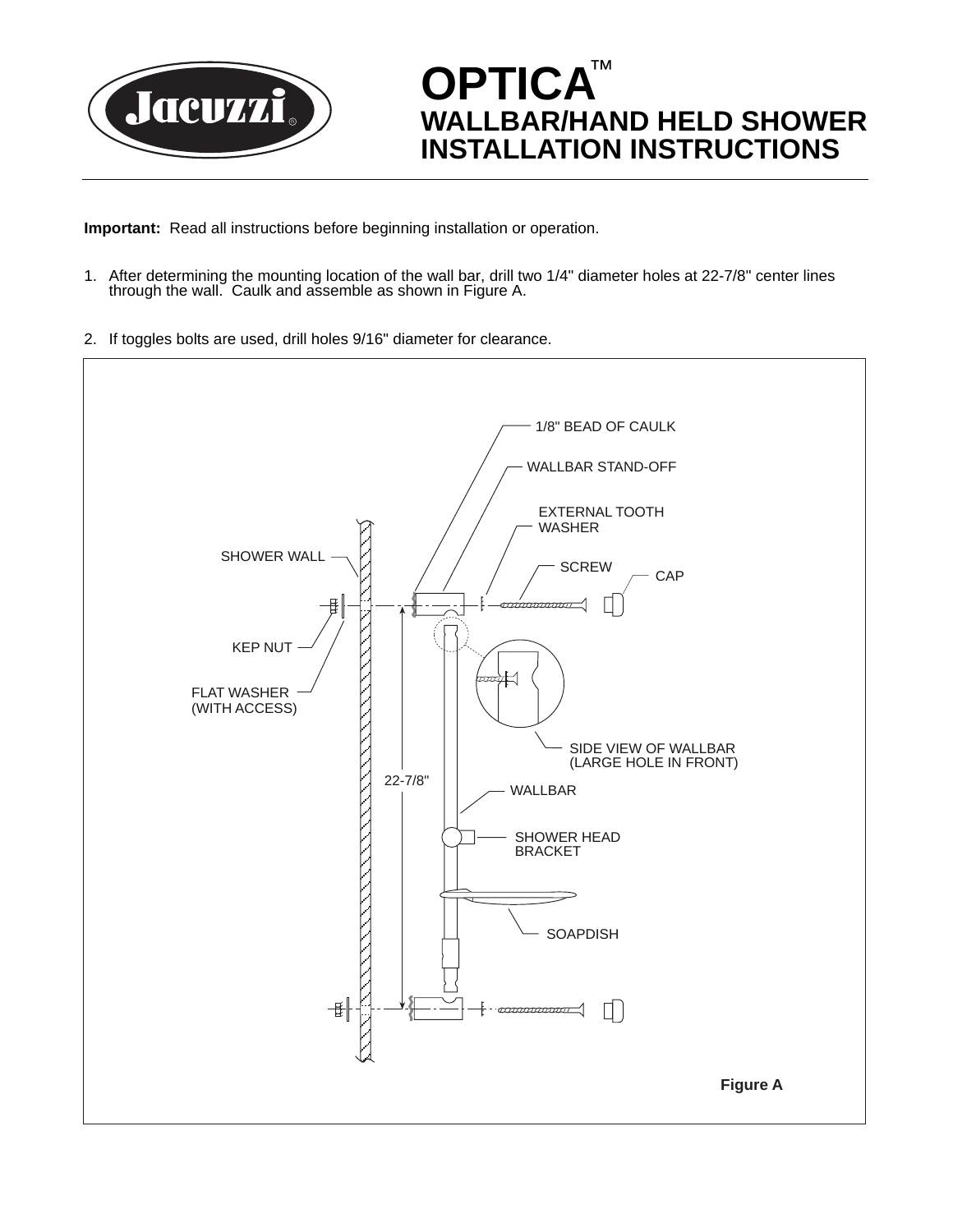

**OPTICA** ™ **WALLBAR/HAND HELD SHOWER INSTALLATION INSTRUCTIONS**

**Important:** Read all instructions before beginning installation or operation.

- 1. After determining the mounting location of the wall bar, drill two 1/4" diameter holes at 22-7/8" center lines through the wall. Caulk and assemble as shown in Figure A.
- 2. If toggles bolts are used, drill holes 9/16" diameter for clearance.